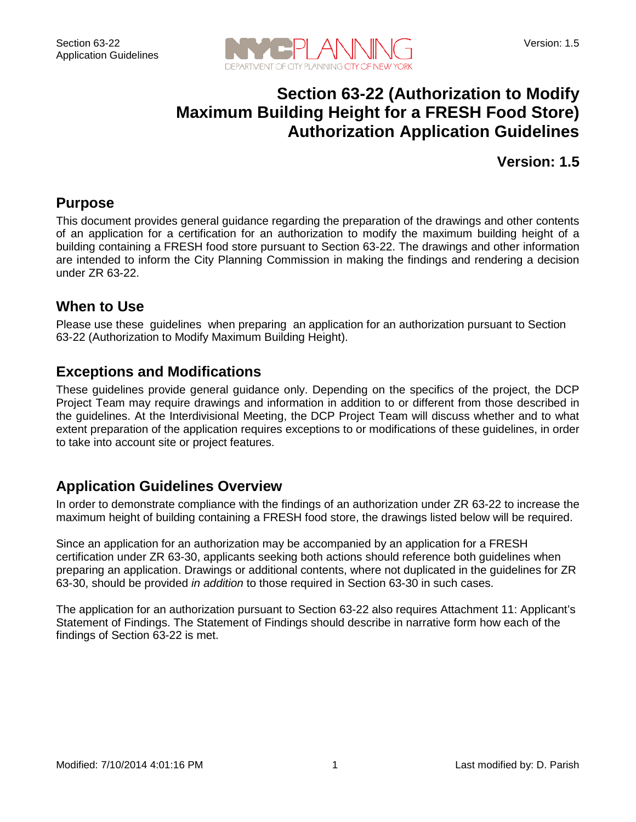

## **Section 63-22 (Authorization to Modify Maximum Building Height for a FRESH Food Store) Authorization Application Guidelines**

**Version: 1.5**

#### **Purpose**

This document provides general guidance regarding the preparation of the drawings and other contents of an application for a certification for an authorization to modify the maximum building height of a building containing a FRESH food store pursuant to Section 63-22. The drawings and other information are intended to inform the City Planning Commission in making the findings and rendering a decision under ZR 63-22.

#### **When to Use**

Please use these guidelines when preparing an application for an authorization pursuant to Section 63-22 (Authorization to Modify Maximum Building Height).

#### **Exceptions and Modifications**

These guidelines provide general guidance only. Depending on the specifics of the project, the DCP Project Team may require drawings and information in addition to or different from those described in the guidelines. At the Interdivisional Meeting, the DCP Project Team will discuss whether and to what extent preparation of the application requires exceptions to or modifications of these guidelines, in order to take into account site or project features.

## **Application Guidelines Overview**

In order to demonstrate compliance with the findings of an authorization under ZR 63-22 to increase the maximum height of building containing a FRESH food store, the drawings listed below will be required.

Since an application for an authorization may be accompanied by an application for a FRESH certification under ZR 63-30, applicants seeking both actions should reference both guidelines when preparing an application. Drawings or additional contents, where not duplicated in the guidelines for ZR 63-30, should be provided *in addition* to those required in Section 63-30 in such cases.

The application for an authorization pursuant to Section 63-22 also requires Attachment 11: Applicant's Statement of Findings. The Statement of Findings should describe in narrative form how each of the findings of Section 63-22 is met.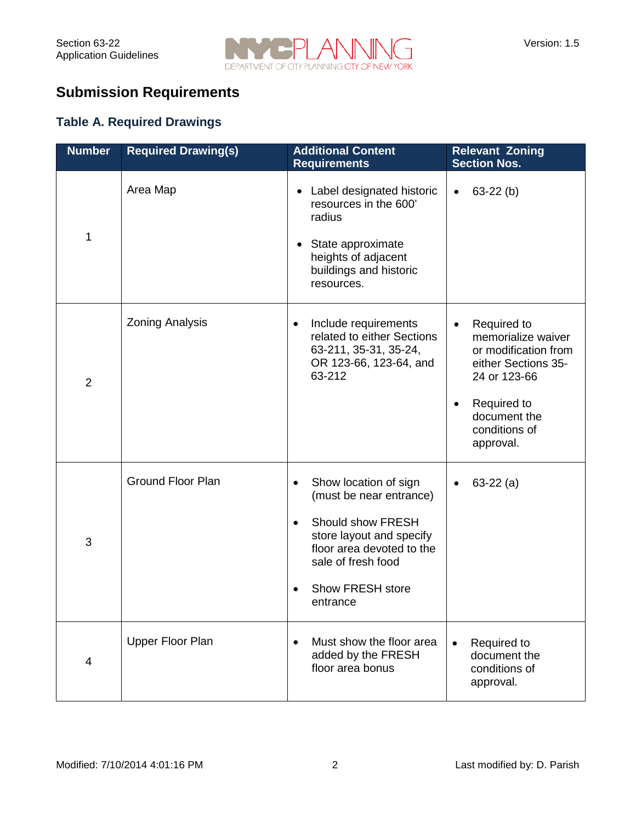

# **Submission Requirements**

#### **Table A. Required Drawings**

| <b>Number</b>  | <b>Required Drawing(s)</b> | <b>Additional Content</b><br><b>Requirements</b>                                                                                                                                                                            | <b>Relevant Zoning</b><br><b>Section Nos.</b>                                                                                                                              |
|----------------|----------------------------|-----------------------------------------------------------------------------------------------------------------------------------------------------------------------------------------------------------------------------|----------------------------------------------------------------------------------------------------------------------------------------------------------------------------|
| 1              | Area Map                   | Label designated historic<br>٠<br>resources in the 600'<br>radius<br>State approximate<br>٠<br>heights of adjacent<br>buildings and historic<br>resources.                                                                  | $63-22(b)$<br>$\bullet$                                                                                                                                                    |
| $\overline{2}$ | <b>Zoning Analysis</b>     | Include requirements<br>$\bullet$<br>related to either Sections<br>63-211, 35-31, 35-24,<br>OR 123-66, 123-64, and<br>63-212                                                                                                | Required to<br>memorialize waiver<br>or modification from<br>either Sections 35-<br>24 or 123-66<br>Required to<br>$\bullet$<br>document the<br>conditions of<br>approval. |
| 3              | <b>Ground Floor Plan</b>   | Show location of sign<br>$\bullet$<br>(must be near entrance)<br>Should show FRESH<br>$\bullet$<br>store layout and specify<br>floor area devoted to the<br>sale of fresh food<br>Show FRESH store<br>$\bullet$<br>entrance | $63-22(a)$                                                                                                                                                                 |
| 4              | Upper Floor Plan           | Must show the floor area<br>$\bullet$<br>added by the FRESH<br>floor area bonus                                                                                                                                             | Required to<br>$\bullet$<br>document the<br>conditions of<br>approval.                                                                                                     |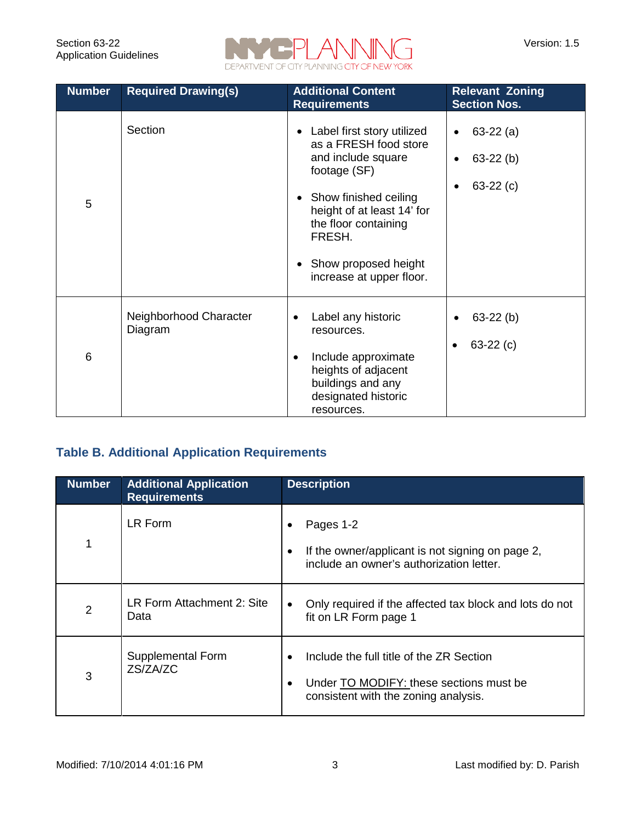

| <b>Number</b> | <b>Required Drawing(s)</b>        | <b>Additional Content</b><br><b>Requirements</b>                                                                                                                                                                                                      | <b>Relevant Zoning</b><br><b>Section Nos.</b>                                  |
|---------------|-----------------------------------|-------------------------------------------------------------------------------------------------------------------------------------------------------------------------------------------------------------------------------------------------------|--------------------------------------------------------------------------------|
| 5             | Section                           | Label first story utilized<br>as a FRESH food store<br>and include square<br>footage (SF)<br>• Show finished ceiling<br>height of at least 14' for<br>the floor containing<br>FRESH.<br>Show proposed height<br>$\bullet$<br>increase at upper floor. | $63-22(a)$<br>$\bullet$<br>$63-22$ (b)<br>$\bullet$<br>$63-22(c)$<br>$\bullet$ |
| 6             | Neighborhood Character<br>Diagram | Label any historic<br>resources.<br>Include approximate<br>$\bullet$<br>heights of adjacent<br>buildings and any<br>designated historic<br>resources.                                                                                                 | $63-22$ (b)<br>$\bullet$<br>$63-22(c)$                                         |

#### **Table B. Additional Application Requirements**

| <b>Number</b>  | <b>Additional Application</b><br><b>Requirements</b> | <b>Description</b>                                                                                                          |
|----------------|------------------------------------------------------|-----------------------------------------------------------------------------------------------------------------------------|
| 1              | LR Form                                              | Pages 1-2<br>If the owner/applicant is not signing on page 2,<br>include an owner's authorization letter.                   |
| $\overline{2}$ | LR Form Attachment 2: Site<br>Data                   | Only required if the affected tax block and lots do not<br>fit on LR Form page 1                                            |
| 3              | Supplemental Form<br>ZS/ZA/ZC                        | Include the full title of the ZR Section<br>Under TO MODIFY: these sections must be<br>consistent with the zoning analysis. |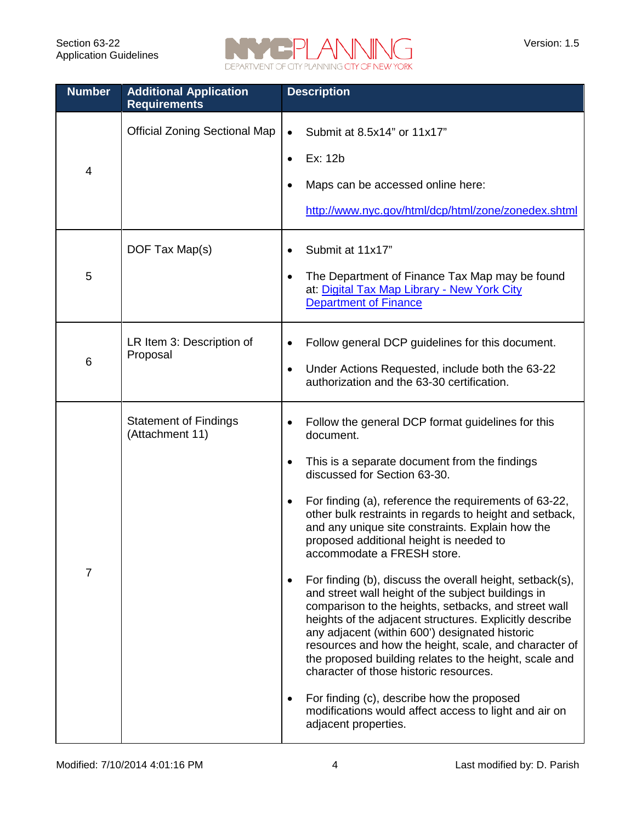

| <b>Number</b> | <b>Additional Application</b><br><b>Requirements</b> | <b>Description</b>                                                                                                                                                                                                                                                                                                                                                                                                                                                                                                                                                                                                                                                                                                                                                                                                                                                                                                                                                                  |
|---------------|------------------------------------------------------|-------------------------------------------------------------------------------------------------------------------------------------------------------------------------------------------------------------------------------------------------------------------------------------------------------------------------------------------------------------------------------------------------------------------------------------------------------------------------------------------------------------------------------------------------------------------------------------------------------------------------------------------------------------------------------------------------------------------------------------------------------------------------------------------------------------------------------------------------------------------------------------------------------------------------------------------------------------------------------------|
| 4             | <b>Official Zoning Sectional Map</b>                 | Submit at 8.5x14" or 11x17"<br>$\bullet$<br>Ex: 12b<br>$\bullet$<br>Maps can be accessed online here:<br>http://www.nyc.gov/html/dcp/html/zone/zonedex.shtml                                                                                                                                                                                                                                                                                                                                                                                                                                                                                                                                                                                                                                                                                                                                                                                                                        |
| 5             | DOF Tax Map(s)                                       | Submit at 11x17"<br>The Department of Finance Tax Map may be found<br>at: Digital Tax Map Library - New York City<br><b>Department of Finance</b>                                                                                                                                                                                                                                                                                                                                                                                                                                                                                                                                                                                                                                                                                                                                                                                                                                   |
| 6             | LR Item 3: Description of<br>Proposal                | Follow general DCP guidelines for this document.<br>$\bullet$<br>Under Actions Requested, include both the 63-22<br>$\bullet$<br>authorization and the 63-30 certification.                                                                                                                                                                                                                                                                                                                                                                                                                                                                                                                                                                                                                                                                                                                                                                                                         |
| 7             | <b>Statement of Findings</b><br>(Attachment 11)      | Follow the general DCP format guidelines for this<br>document.<br>This is a separate document from the findings<br>discussed for Section 63-30.<br>For finding (a), reference the requirements of 63-22,<br>other bulk restraints in regards to height and setback,<br>and any unique site constraints. Explain how the<br>proposed additional height is needed to<br>accommodate a FRESH store.<br>For finding (b), discuss the overall height, setback(s),<br>and street wall height of the subject buildings in<br>comparison to the heights, setbacks, and street wall<br>heights of the adjacent structures. Explicitly describe<br>any adjacent (within 600') designated historic<br>resources and how the height, scale, and character of<br>the proposed building relates to the height, scale and<br>character of those historic resources.<br>For finding (c), describe how the proposed<br>modifications would affect access to light and air on<br>adjacent properties. |